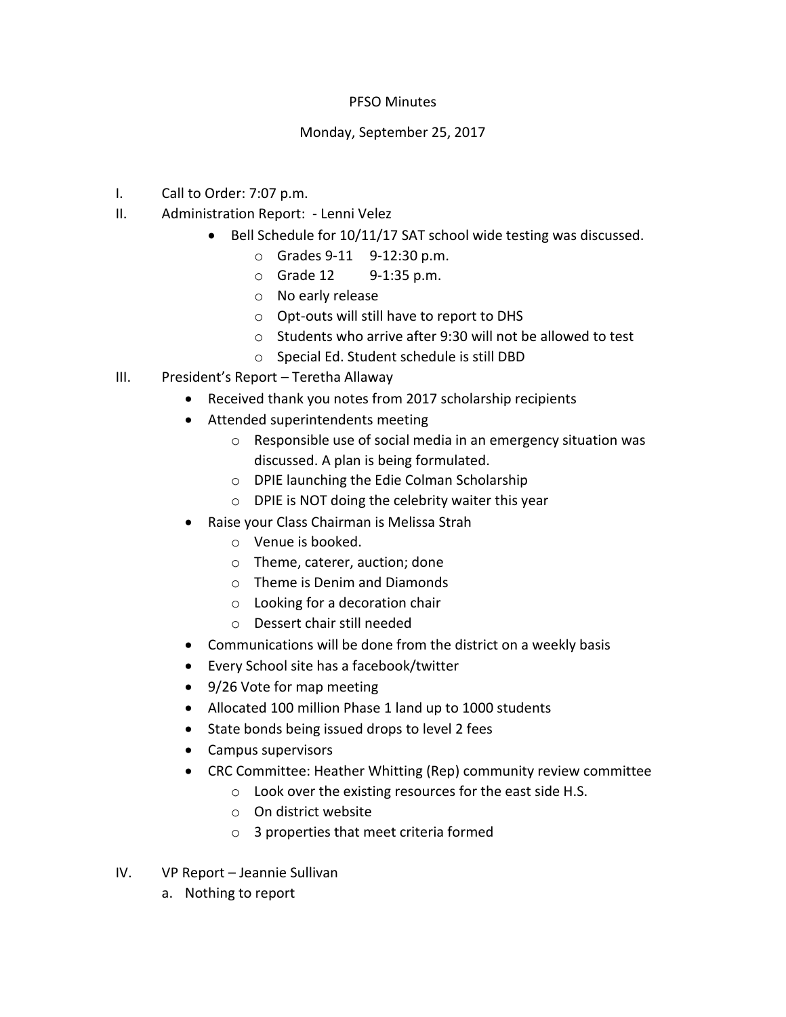## PFSO Minutes

## Monday, September 25, 2017

- I. Call to Order: 7:07 p.m.
- II. Administration Report: Lenni Velez
	- Bell Schedule for 10/11/17 SAT school wide testing was discussed.
		- o Grades 9-11 9-12:30 p.m.
		- o Grade 12 9-1:35 p.m.
		- o No early release
		- o Opt-outs will still have to report to DHS
		- o Students who arrive after 9:30 will not be allowed to test
		- o Special Ed. Student schedule is still DBD
- III. President's Report Teretha Allaway
	- Received thank you notes from 2017 scholarship recipients
	- Attended superintendents meeting
		- o Responsible use of social media in an emergency situation was discussed. A plan is being formulated.
		- o DPIE launching the Edie Colman Scholarship
		- o DPIE is NOT doing the celebrity waiter this year
	- Raise your Class Chairman is Melissa Strah
		- o Venue is booked.
		- o Theme, caterer, auction; done
		- o Theme is Denim and Diamonds
		- o Looking for a decoration chair
		- o Dessert chair still needed
	- Communications will be done from the district on a weekly basis
	- Every School site has a facebook/twitter
	- 9/26 Vote for map meeting
	- Allocated 100 million Phase 1 land up to 1000 students
	- State bonds being issued drops to level 2 fees
	- Campus supervisors
	- CRC Committee: Heather Whitting (Rep) community review committee
		- o Look over the existing resources for the east side H.S.
		- o On district website
		- o 3 properties that meet criteria formed
- IV. VP Report Jeannie Sullivan
	- a. Nothing to report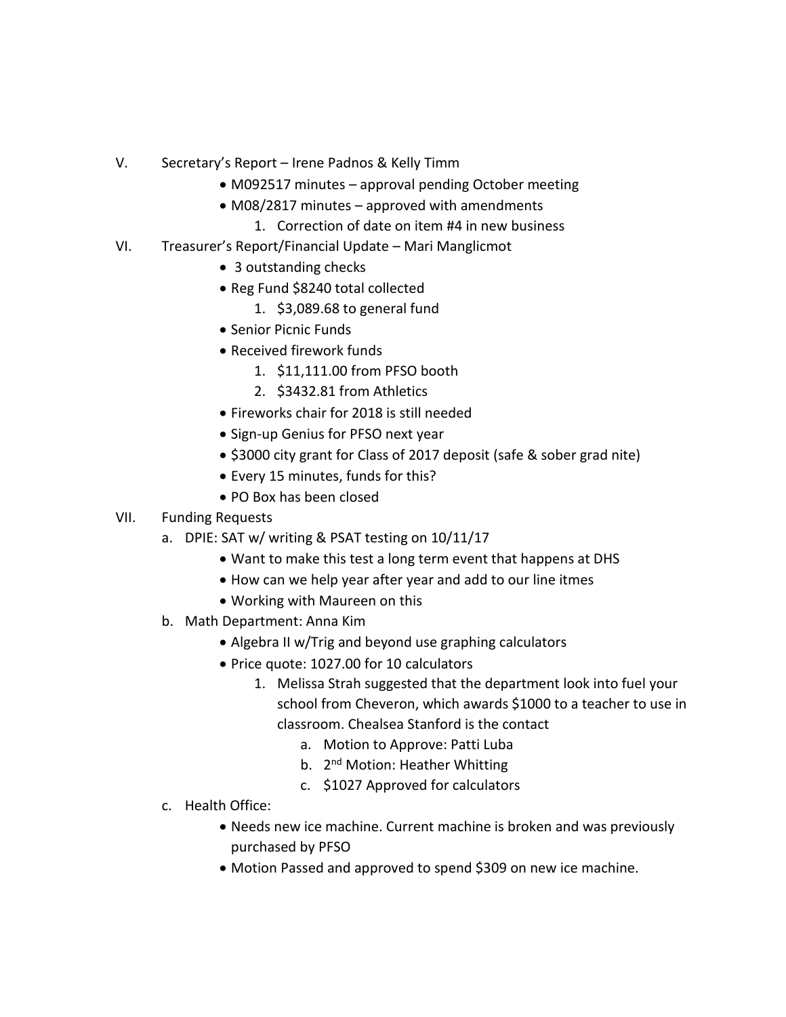- V. Secretary's Report Irene Padnos & Kelly Timm
	- M092517 minutes approval pending October meeting
	- M08/2817 minutes approved with amendments
		- 1. Correction of date on item #4 in new business
- VI. Treasurer's Report/Financial Update Mari Manglicmot
	- 3 outstanding checks
	- Reg Fund \$8240 total collected
		- 1. \$3,089.68 to general fund
	- Senior Picnic Funds
	- Received firework funds
		- 1. \$11,111.00 from PFSO booth
		- 2. \$3432.81 from Athletics
	- Fireworks chair for 2018 is still needed
	- Sign-up Genius for PFSO next year
	- \$3000 city grant for Class of 2017 deposit (safe & sober grad nite)
	- Every 15 minutes, funds for this?
	- PO Box has been closed

## VII. Funding Requests

- a. DPIE: SAT w/ writing & PSAT testing on 10/11/17
	- Want to make this test a long term event that happens at DHS
	- How can we help year after year and add to our line itmes
	- Working with Maureen on this
- b. Math Department: Anna Kim
	- Algebra II w/Trig and beyond use graphing calculators
	- Price quote: 1027.00 for 10 calculators
		- 1. Melissa Strah suggested that the department look into fuel your school from Cheveron, which awards \$1000 to a teacher to use in classroom. Chealsea Stanford is the contact
			- a. Motion to Approve: Patti Luba
			- b. 2<sup>nd</sup> Motion: Heather Whitting
			- c. \$1027 Approved for calculators
- c. Health Office:
	- Needs new ice machine. Current machine is broken and was previously purchased by PFSO
	- Motion Passed and approved to spend \$309 on new ice machine.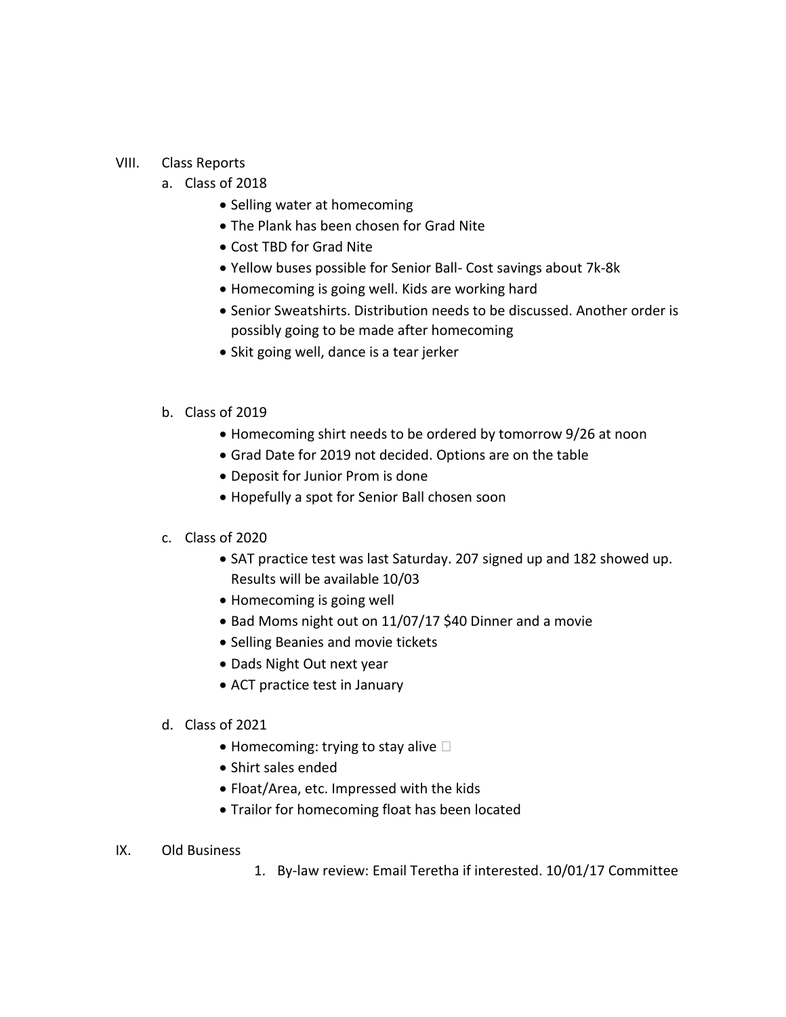## VIII. Class Reports

- a. Class of 2018
	- Selling water at homecoming
	- The Plank has been chosen for Grad Nite
	- Cost TBD for Grad Nite
	- Yellow buses possible for Senior Ball- Cost savings about 7k-8k
	- Homecoming is going well. Kids are working hard
	- Senior Sweatshirts. Distribution needs to be discussed. Another order is possibly going to be made after homecoming
	- Skit going well, dance is a tear jerker
- b. Class of 2019
	- Homecoming shirt needs to be ordered by tomorrow 9/26 at noon
	- Grad Date for 2019 not decided. Options are on the table
	- Deposit for Junior Prom is done
	- Hopefully a spot for Senior Ball chosen soon
- c. Class of 2020
	- SAT practice test was last Saturday. 207 signed up and 182 showed up. Results will be available 10/03
	- Homecoming is going well
	- Bad Moms night out on 11/07/17 \$40 Dinner and a movie
	- Selling Beanies and movie tickets
	- Dads Night Out next year
	- ACT practice test in January
- d. Class of 2021
	- $\bullet$  Homecoming: trying to stay alive  $\Box$
	- Shirt sales ended
	- Float/Area, etc. Impressed with the kids
	- Trailor for homecoming float has been located
- IX. Old Business
- 1. By-law review: Email Teretha if interested. 10/01/17 Committee